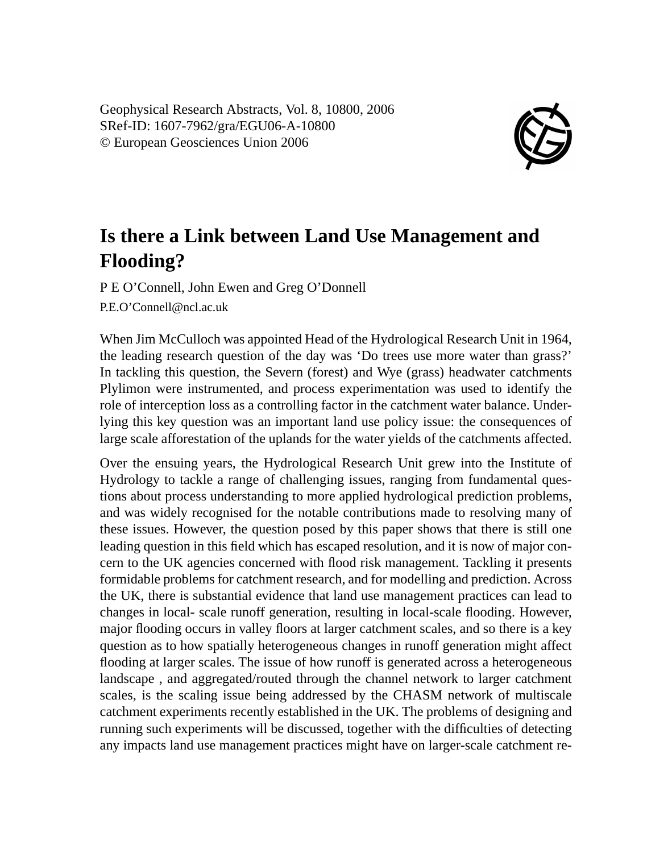Geophysical Research Abstracts, Vol. 8, 10800, 2006 SRef-ID: 1607-7962/gra/EGU06-A-10800 © European Geosciences Union 2006



## **Is there a Link between Land Use Management and Flooding?**

P E O'Connell, John Ewen and Greg O'Donnell P.E.O'Connell@ncl.ac.uk

When Jim McCulloch was appointed Head of the Hydrological Research Unit in 1964, the leading research question of the day was 'Do trees use more water than grass?' In tackling this question, the Severn (forest) and Wye (grass) headwater catchments Plylimon were instrumented, and process experimentation was used to identify the role of interception loss as a controlling factor in the catchment water balance. Underlying this key question was an important land use policy issue: the consequences of large scale afforestation of the uplands for the water yields of the catchments affected.

Over the ensuing years, the Hydrological Research Unit grew into the Institute of Hydrology to tackle a range of challenging issues, ranging from fundamental questions about process understanding to more applied hydrological prediction problems, and was widely recognised for the notable contributions made to resolving many of these issues. However, the question posed by this paper shows that there is still one leading question in this field which has escaped resolution, and it is now of major concern to the UK agencies concerned with flood risk management. Tackling it presents formidable problems for catchment research, and for modelling and prediction. Across the UK, there is substantial evidence that land use management practices can lead to changes in local- scale runoff generation, resulting in local-scale flooding. However, major flooding occurs in valley floors at larger catchment scales, and so there is a key question as to how spatially heterogeneous changes in runoff generation might affect flooding at larger scales. The issue of how runoff is generated across a heterogeneous landscape , and aggregated/routed through the channel network to larger catchment scales, is the scaling issue being addressed by the CHASM network of multiscale catchment experiments recently established in the UK. The problems of designing and running such experiments will be discussed, together with the difficulties of detecting any impacts land use management practices might have on larger-scale catchment re